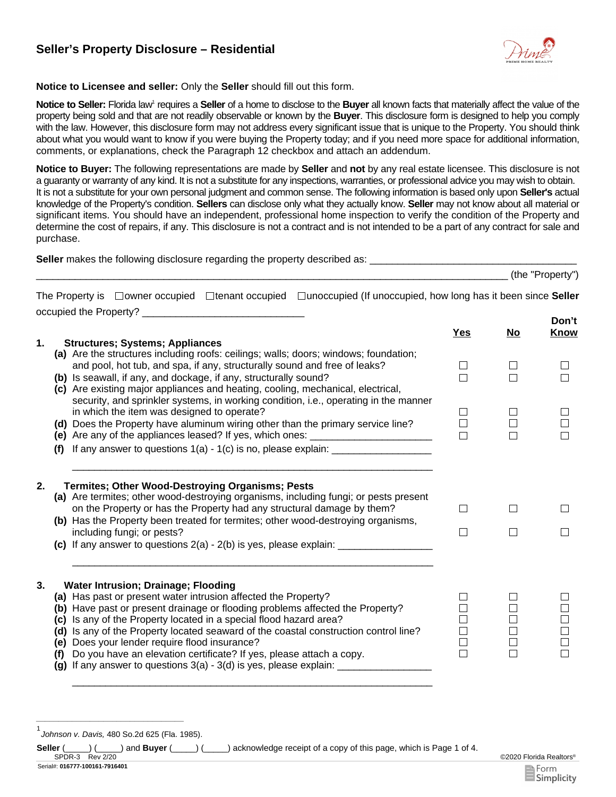## **Seller's Property Disclosure – Residential**



## **Notice to Licensee and seller:** Only the **Seller** should fill out this form.

Notice to Seller: Florida law<sup>1</sup> requires a Seller of a home to disclose to the Buyer all known facts that materially affect the value of the property being sold and that are not readily observable or known by the **Buyer**. This disclosure form is designed to help you comply with the law. However, this disclosure form may not address every significant issue that is unique to the Property. You should think about what you would want to know if you were buying the Property today; and if you need more space for additional information, comments, or explanations, check the Paragraph 12 checkbox and attach an addendum.

**Notice to Buyer:** The following representations are made by **Seller** and **not** by any real estate licensee. This disclosure is not a guaranty or warranty of any kind. It is not a substitute for any inspections, warranties, or professional advice you may wish to obtain. It is not a substitute for your own personal judgment and common sense. The following information is based only upon **Seller's** actual knowledge of the Property's condition. **Sellers** can disclose only what they actually know. **Seller** may not know about all material or significant items. You should have an independent, professional home inspection to verify the condition of the Property and determine the cost of repairs, if any. This disclosure is not a contract and is not intended to be a part of any contract for sale and purchase.

**Seller** makes the following disclosure regarding the property described as: \_\_\_\_\_\_\_\_\_\_\_\_\_\_\_\_\_\_\_\_\_\_\_\_\_\_\_\_\_\_\_\_\_\_\_\_\_

(the "Property")

The Property is  $\Box$ owner occupied  $\Box$ tenant occupied  $\Box$ unoccupied (If unoccupied, how long has it been since **Seller** occupied the Property? \_\_\_\_\_\_\_\_\_\_\_\_\_\_\_\_\_\_\_\_\_\_\_\_\_\_\_\_\_ **Don't** 

|    |                                                                                                                                                                                                                                                                                                                                                                                                                                                                                                                                                                                               | <b>Yes</b>                 | <b>No</b>                                           | <b>Know</b>                  |
|----|-----------------------------------------------------------------------------------------------------------------------------------------------------------------------------------------------------------------------------------------------------------------------------------------------------------------------------------------------------------------------------------------------------------------------------------------------------------------------------------------------------------------------------------------------------------------------------------------------|----------------------------|-----------------------------------------------------|------------------------------|
| 1. | <b>Structures; Systems; Appliances</b><br>(a) Are the structures including roofs: ceilings; walls; doors; windows; foundation;<br>and pool, hot tub, and spa, if any, structurally sound and free of leaks?<br>(b) Is seawall, if any, and dockage, if any, structurally sound?<br>(c) Are existing major appliances and heating, cooling, mechanical, electrical,                                                                                                                                                                                                                            | П<br>П                     | П<br>$\Box$                                         | $\mathsf{L}$<br>$\mathsf{L}$ |
|    | security, and sprinkler systems, in working condition, i.e., operating in the manner<br>in which the item was designed to operate?<br>(d) Does the Property have aluminum wiring other than the primary service line?<br>(e) Are any of the appliances leased? If yes, which ones: ______________________<br>If any answer to questions 1(a) - 1(c) is no, please explain: __________________<br>(f)                                                                                                                                                                                          |                            | $\Box$<br>$\Box$<br>П                               |                              |
| 2. | Termites; Other Wood-Destroying Organisms; Pests<br>(a) Are termites; other wood-destroying organisms, including fungi; or pests present<br>on the Property or has the Property had any structural damage by them?<br>(b) Has the Property been treated for termites; other wood-destroying organisms,<br>including fungi; or pests?                                                                                                                                                                                                                                                          |                            | $\Box$<br>П                                         |                              |
| 3. | <b>Water Intrusion; Drainage; Flooding</b><br>(a) Has past or present water intrusion affected the Property?<br>(b) Have past or present drainage or flooding problems affected the Property?<br>Is any of the Property located in a special flood hazard area?<br>(c)<br>(d) Is any of the Property located seaward of the coastal construction control line?<br>(e) Does your lender require flood insurance?<br>Do you have an elevation certificate? If yes, please attach a copy.<br>(f)<br>(g) If any answer to questions $3(a) - 3(d)$ is yes, please explain: $\frac{1}{2(a-1)(a-1)}$ | $\Box$<br>$\Box$<br>$\Box$ | $\Box$<br>$\Box$<br>Π<br>$\Box$<br>$\Box$<br>$\Box$ | П<br>$\Box$<br>П             |

*\_\_\_\_\_\_\_\_\_\_\_\_\_\_\_\_\_\_\_\_\_\_\_\_\_\_\_\_\_\_\_\_\_*

SPDR-3 Rev 2/20 **Seller** (\_\_\_\_\_) (\_\_\_\_\_) and **Buyer** (\_\_\_\_\_) (\_\_\_\_\_) acknowledge receipt of a copy of this page, which is Page 1 of 4.



<sup>1</sup> *Johnson v. Davis,* 480 So.2d 625 (Fla. 1985).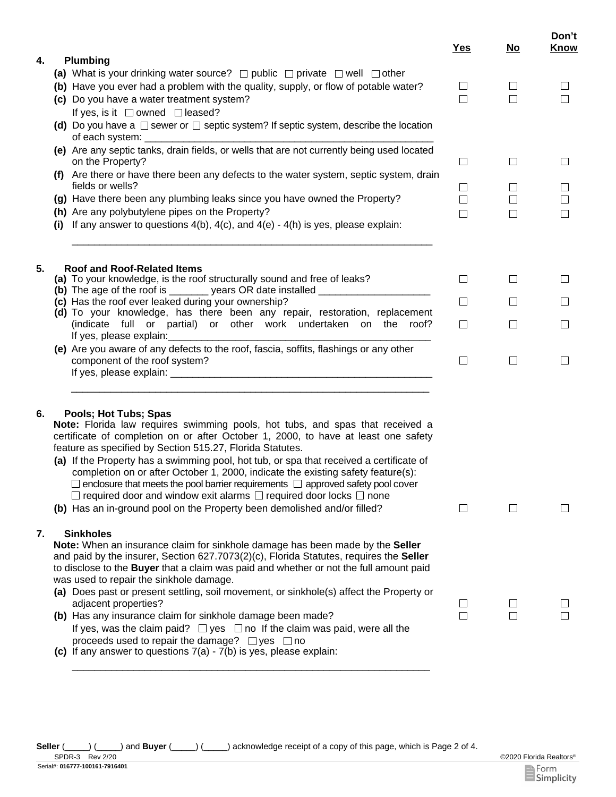| 4. | <b>Plumbing</b>                                                                                                                                                                                                                                                                                                                                                                                                             | <b>Yes</b>       | <u>No</u>        | Don't<br>Know |
|----|-----------------------------------------------------------------------------------------------------------------------------------------------------------------------------------------------------------------------------------------------------------------------------------------------------------------------------------------------------------------------------------------------------------------------------|------------------|------------------|---------------|
|    | (a) What is your drinking water source? $\Box$ public $\Box$ private $\Box$ well $\Box$ other<br>(b) Have you ever had a problem with the quality, supply, or flow of potable water?<br>(c) Do you have a water treatment system?<br>If yes, is it $\Box$ owned $\Box$ leased?                                                                                                                                              | $\Box$<br>$\Box$ | ⊔<br>$\Box$      | ப<br>П        |
|    | (d) Do you have a $\Box$ sewer or $\Box$ septic system? If septic system, describe the location<br>of each system: _____________                                                                                                                                                                                                                                                                                            |                  |                  |               |
|    | (e) Are any septic tanks, drain fields, or wells that are not currently being used located<br>on the Property?                                                                                                                                                                                                                                                                                                              | $\Box$           | $\Box$           | $\Box$        |
|    | (f) Are there or have there been any defects to the water system, septic system, drain<br>fields or wells?                                                                                                                                                                                                                                                                                                                  | $\Box$           | $\Box$           | $\Box$        |
|    | (g) Have there been any plumbing leaks since you have owned the Property?<br>(h) Are any polybutylene pipes on the Property?<br>If any answer to questions $4(b)$ , $4(c)$ , and $4(e)$ - $4(h)$ is yes, please explain:<br>(i)                                                                                                                                                                                             | $\Box$<br>$\Box$ | $\Box$<br>$\Box$ | $\Box$<br>П   |
| 5. | <b>Roof and Roof-Related Items</b>                                                                                                                                                                                                                                                                                                                                                                                          |                  |                  |               |
|    | (a) To your knowledge, is the roof structurally sound and free of leaks?<br>(b) The age of the roof is _______ years OR date installed __________                                                                                                                                                                                                                                                                           | $\Box$           | $\Box$           | $\mathsf{L}$  |
|    | (c) Has the roof ever leaked during your ownership?<br>(d) To your knowledge, has there been any repair, restoration, replacement                                                                                                                                                                                                                                                                                           | $\Box$           | $\Box$           | П             |
|    | (indicate full or partial) or other work undertaken on the roof?<br>If yes, please explain:                                                                                                                                                                                                                                                                                                                                 | П                | $\Box$           | $\Box$        |
|    | (e) Are you aware of any defects to the roof, fascia, soffits, flashings or any other<br>component of the roof system?                                                                                                                                                                                                                                                                                                      | $\Box$           | $\Box$           | $\Box$        |
| 6. | Pools; Hot Tubs; Spas<br>Note: Florida law requires swimming pools, hot tubs, and spas that received a<br>certificate of completion on or after October 1, 2000, to have at least one safety<br>feature as specified by Section 515.27, Florida Statutes.<br>(a) If the Property has a swimming pool, hot tub, or spa that received a certificate of                                                                        |                  |                  |               |
|    | completion on or after October 1, 2000, indicate the existing safety feature(s):<br>$\Box$ enclosure that meets the pool barrier requirements $\Box$ approved safety pool cover<br>$\Box$ required door and window exit alarms $\Box$ required door locks $\Box$ none                                                                                                                                                       |                  |                  |               |
|    | (b) Has an in-ground pool on the Property been demolished and/or filled?                                                                                                                                                                                                                                                                                                                                                    | $\perp$          | $\Box$           |               |
| 7. | <b>Sinkholes</b><br>Note: When an insurance claim for sinkhole damage has been made by the Seller<br>and paid by the insurer, Section 627.7073(2)(c), Florida Statutes, requires the Seller<br>to disclose to the Buyer that a claim was paid and whether or not the full amount paid<br>was used to repair the sinkhole damage.<br>(a) Does past or present settling, soil movement, or sinkhole(s) affect the Property or |                  |                  |               |
|    | adjacent properties?<br>(b) Has any insurance claim for sinkhole damage been made?<br>If yes, was the claim paid? $\Box$ yes $\Box$ no If the claim was paid, were all the<br>proceeds used to repair the damage? □ yes □ no<br>(c) If any answer to questions $7(a) - 7(b)$ is yes, please explain:                                                                                                                        | $\Box$<br>$\Box$ | $\Box$<br>$\Box$ | П             |

**Seller** (\_\_\_\_\_) (\_\_\_\_\_) and **Buyer** (\_\_\_\_\_) (\_\_\_\_\_) acknowledge receipt of a copy of this page, which is Page 2 of 4.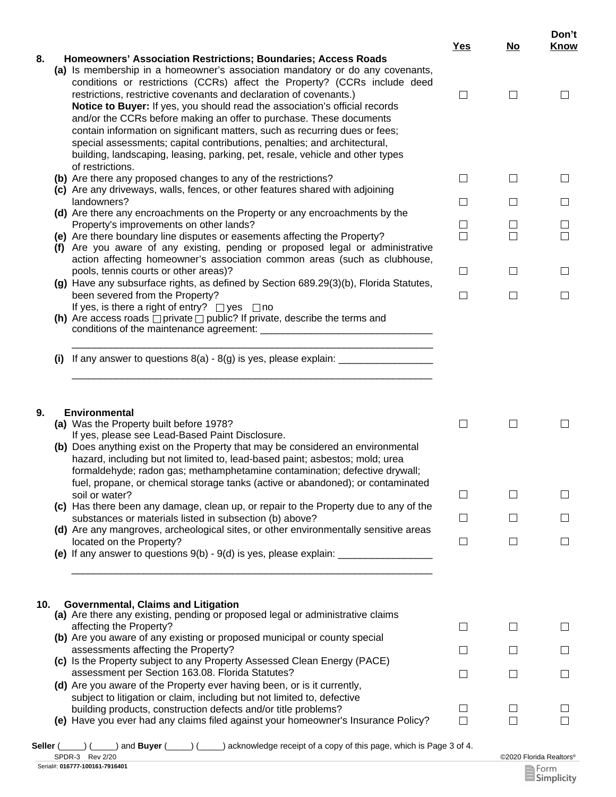|     |                                                                                                                                                                                                                                                                                                                                                                                                                                                                                                                                                                                                                                                                                                                           | <b>Yes</b>               | <u>No</u>      | Don't<br>Know |
|-----|---------------------------------------------------------------------------------------------------------------------------------------------------------------------------------------------------------------------------------------------------------------------------------------------------------------------------------------------------------------------------------------------------------------------------------------------------------------------------------------------------------------------------------------------------------------------------------------------------------------------------------------------------------------------------------------------------------------------------|--------------------------|----------------|---------------|
| 8.  | Homeowners' Association Restrictions; Boundaries; Access Roads<br>(a) Is membership in a homeowner's association mandatory or do any covenants,<br>conditions or restrictions (CCRs) affect the Property? (CCRs include deed<br>restrictions, restrictive covenants and declaration of covenants.)<br>Notice to Buyer: If yes, you should read the association's official records<br>and/or the CCRs before making an offer to purchase. These documents<br>contain information on significant matters, such as recurring dues or fees;<br>special assessments; capital contributions, penalties; and architectural,<br>building, landscaping, leasing, parking, pet, resale, vehicle and other types<br>of restrictions. | $\overline{\phantom{a}}$ | $\Box$         |               |
|     | (b) Are there any proposed changes to any of the restrictions?                                                                                                                                                                                                                                                                                                                                                                                                                                                                                                                                                                                                                                                            | □                        | $\Box$         | $\perp$       |
|     | (c) Are any driveways, walls, fences, or other features shared with adjoining<br>landowners?                                                                                                                                                                                                                                                                                                                                                                                                                                                                                                                                                                                                                              | $\Box$                   | $\Box$         |               |
|     | (d) Are there any encroachments on the Property or any encroachments by the<br>Property's improvements on other lands?                                                                                                                                                                                                                                                                                                                                                                                                                                                                                                                                                                                                    | $\Box$                   | $\Box$         |               |
|     | (e) Are there boundary line disputes or easements affecting the Property?<br>(f) Are you aware of any existing, pending or proposed legal or administrative<br>action affecting homeowner's association common areas (such as clubhouse,                                                                                                                                                                                                                                                                                                                                                                                                                                                                                  | П                        | $\Box$         |               |
|     | pools, tennis courts or other areas)?<br>(g) Have any subsurface rights, as defined by Section 689.29(3)(b), Florida Statutes,                                                                                                                                                                                                                                                                                                                                                                                                                                                                                                                                                                                            | □                        | $\Box$         | $\Box$        |
|     | been severed from the Property?                                                                                                                                                                                                                                                                                                                                                                                                                                                                                                                                                                                                                                                                                           | $\Box$                   | П              | $\perp$       |
|     | If yes, is there a right of entry? $\Box$ yes $\Box$ no<br>(h) Are access roads $\Box$ private $\Box$ public? If private, describe the terms and                                                                                                                                                                                                                                                                                                                                                                                                                                                                                                                                                                          |                          |                |               |
|     | (i)                                                                                                                                                                                                                                                                                                                                                                                                                                                                                                                                                                                                                                                                                                                       |                          |                |               |
| 9.  | <b>Environmental</b><br>(a) Was the Property built before 1978?<br>If yes, please see Lead-Based Paint Disclosure.<br>(b) Does anything exist on the Property that may be considered an environmental<br>hazard, including but not limited to, lead-based paint; asbestos; mold; urea<br>formaldehyde; radon gas; methamphetamine contamination; defective drywall;                                                                                                                                                                                                                                                                                                                                                       | $\Box$                   | $\overline{a}$ |               |
|     | fuel, propane, or chemical storage tanks (active or abandoned); or contaminated<br>soil or water?                                                                                                                                                                                                                                                                                                                                                                                                                                                                                                                                                                                                                         | $\Box$                   | $\mathsf{L}$   | $\perp$       |
|     | (c) Has there been any damage, clean up, or repair to the Property due to any of the<br>substances or materials listed in subsection (b) above?<br>(d) Are any mangroves, archeological sites, or other environmentally sensitive areas                                                                                                                                                                                                                                                                                                                                                                                                                                                                                   | $\Box$                   | $\mathsf{L}$   |               |
|     | located on the Property?<br>(e) If any answer to questions $9(b) - 9(d)$ is yes, please explain:                                                                                                                                                                                                                                                                                                                                                                                                                                                                                                                                                                                                                          | $\Box$                   | $\perp$        |               |
| 10. | Governmental, Claims and Litigation<br>(a) Are there any existing, pending or proposed legal or administrative claims                                                                                                                                                                                                                                                                                                                                                                                                                                                                                                                                                                                                     |                          |                |               |
|     | affecting the Property?                                                                                                                                                                                                                                                                                                                                                                                                                                                                                                                                                                                                                                                                                                   | l 1                      | $\Box$         |               |
|     | (b) Are you aware of any existing or proposed municipal or county special<br>assessments affecting the Property?                                                                                                                                                                                                                                                                                                                                                                                                                                                                                                                                                                                                          |                          | $\perp$        |               |
|     | (c) Is the Property subject to any Property Assessed Clean Energy (PACE)<br>assessment per Section 163.08. Florida Statutes?                                                                                                                                                                                                                                                                                                                                                                                                                                                                                                                                                                                              |                          | $\perp$        |               |
|     | (d) Are you aware of the Property ever having been, or is it currently,<br>subject to litigation or claim, including but not limited to, defective                                                                                                                                                                                                                                                                                                                                                                                                                                                                                                                                                                        |                          |                |               |
|     | building products, construction defects and/or title problems?<br>(e) Have you ever had any claims filed against your homeowner's Insurance Policy?                                                                                                                                                                                                                                                                                                                                                                                                                                                                                                                                                                       | $\blacksquare$<br>П      | ப<br>$\Box$    |               |
|     |                                                                                                                                                                                                                                                                                                                                                                                                                                                                                                                                                                                                                                                                                                                           |                          |                |               |

**Seller** (\_\_\_\_\_) (\_\_\_\_\_) and **Buyer** (\_\_\_\_\_) (\_\_\_\_\_) acknowledge receipt of a copy of this page, which is Page 3 of 4.